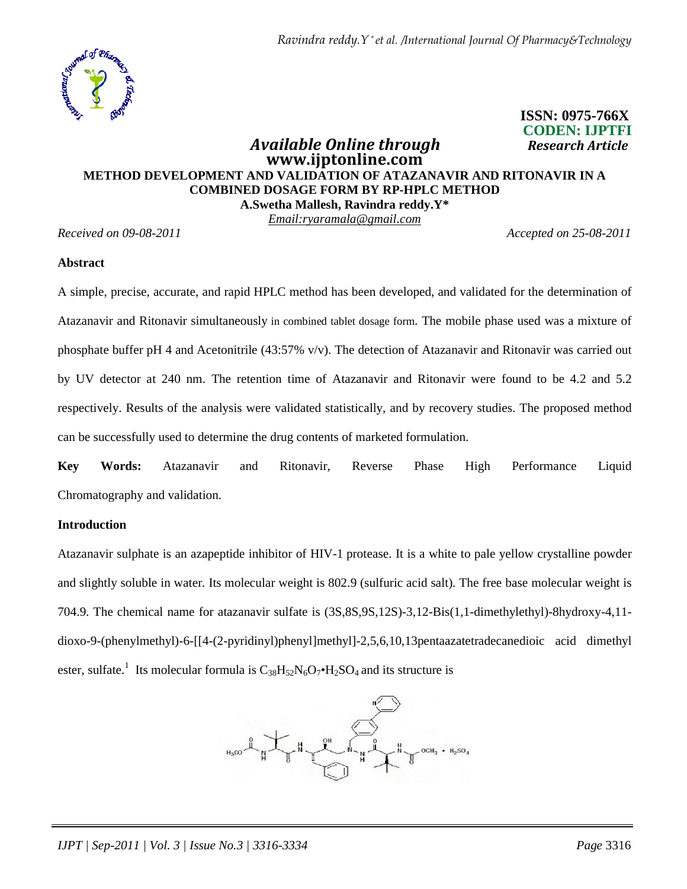

# **ISSN: 0975-766X CODEN: IJPTFI** *Available Online through Research Article*

# **www.ijptonline.com METHOD DEVELOPMENT AND VALIDATION OF ATAZANAVIR AND RITONAVIR IN A COMBINED DOSAGE FORM BY RP-HPLC METHOD A.Swetha Mallesh, Ravindra reddy.Y\***

*Email:ryaramala@gmail.com*

*Received on 09-08-2011 Accepted on 25-08-2011*

#### **Abstract**

A simple, precise, accurate, and rapid HPLC method has been developed, and validated for the determination of Atazanavir and Ritonavir simultaneously in combined tablet dosage form. The mobile phase used was a mixture of phosphate buffer pH 4 and Acetonitrile (43:57% v/v). The detection of Atazanavir and Ritonavir was carried out by UV detector at 240 nm. The retention time of Atazanavir and Ritonavir were found to be 4.2 and 5.2 respectively. Results of the analysis were validated statistically, and by recovery studies. The proposed method can be successfully used to determine the drug contents of marketed formulation.

**Key Words:** Atazanavir and Ritonavir, Reverse Phase High Performance Liquid Chromatography and validation.

#### **Introduction**

Atazanavir sulphate is an azapeptide inhibitor of HIV-1 protease. It is a white to pale yellow crystalline powder and slightly soluble in water. Its molecular weight is 802.9 (sulfuric acid salt). The free base molecular weight is 704.9. The chemical name for atazanavir sulfate is (3S,8S,9S,12S)-3,12-Bis(1,1-dimethylethyl)-8hydroxy-4,11 dioxo-9-(phenylmethyl)-6-[[4-(2-pyridinyl)phenyl]methyl]-2,5,6,10,13pentaazatetradecanedioic acid dimethyl ester, sulfate.<sup>1</sup> Its molecular formula is  $C_{38}H_{52}N_6O_7\bullet H_2SO_4$  and its structure is

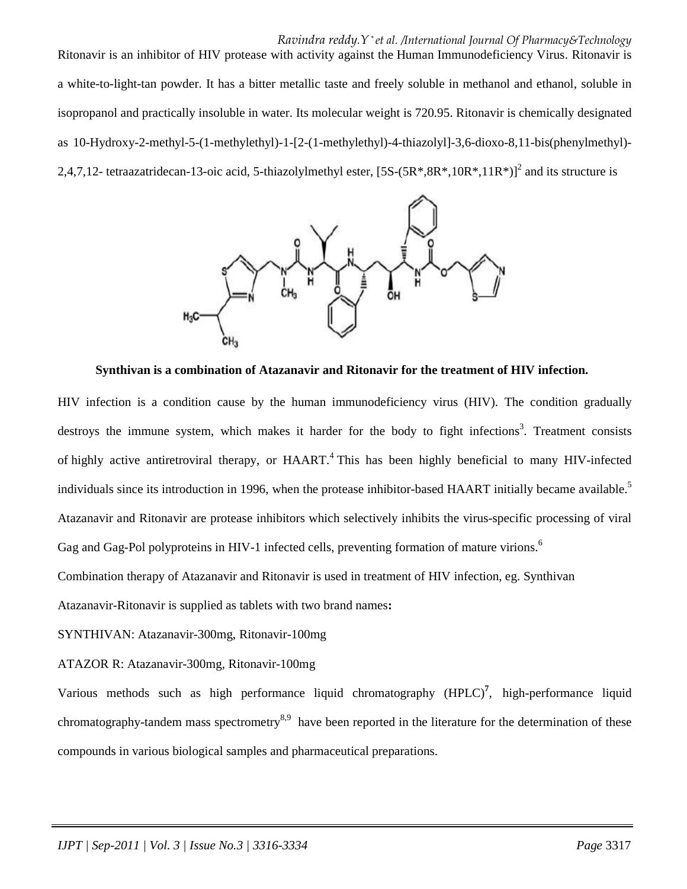*Ravindra reddy.Y \* et al. /International Journal Of Pharmacy&Technology*

Ritonavir is an inhibitor of HIV protease with activity against the Human Immunodeficiency Virus. Ritonavir is a white-to-light-tan powder. It has a bitter metallic taste and freely soluble in methanol and ethanol, soluble in isopropanol and practically insoluble in water. Its molecular weight is 720.95. Ritonavir is chemically designated as 10-Hydroxy-2-methyl-5-(1-methylethyl)-1-[2-(1-methylethyl)-4-thiazolyl]-3,6-dioxo-8,11-bis(phenylmethyl)- 2,4,7,12- tetraazatridecan-13-oic acid, 5-thiazolylmethyl ester,  $[5S-(5R^*,8R^*,10R^*,11R^*)]^2$  and its structure is



**Synthivan is a combination of Atazanavir and Ritonavir for the treatment of HIV infection.** 

HIV infection is a condition cause by the human immunodeficiency virus (HIV). The condition gradually destroys the immune system, which makes it harder for the body to fight infections<sup>3</sup>. Treatment consists of highly active antiretroviral therapy, or HAART.<sup>4</sup> This has been highly beneficial to many HIV-infected individuals since its introduction in 1996, when the protease inhibitor-based HAART initially became available.<sup>5</sup> Atazanavir and Ritonavir are protease inhibitors which selectively inhibits the virus-specific processing of viral Gag and Gag-Pol polyproteins in HIV-1 infected cells, preventing formation of mature virions.<sup>6</sup>

Combination therapy of Atazanavir and Ritonavir is used in treatment of HIV infection, eg. Synthivan

Atazanavir-Ritonavir is supplied as tablets with two brand names**:** 

SYNTHIVAN: Atazanavir-300mg, Ritonavir-100mg

# ATAZOR R: Atazanavir-300mg, Ritonavir-100mg

Various methods such as high performance liquid chromatography (HPLC)**<sup>7</sup>** , high-performance liquid chromatography-tandem mass spectrometry<sup>8,9</sup> have been reported in the literature for the determination of these compounds in various biological samples and pharmaceutical preparations.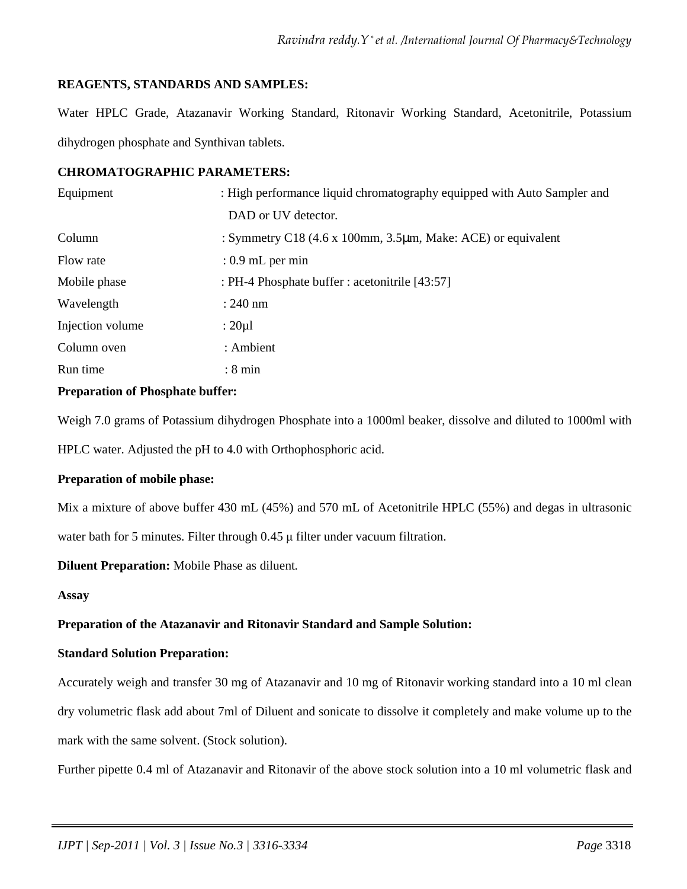# **REAGENTS, STANDARDS AND SAMPLES:**

Water HPLC Grade, Atazanavir Working Standard, Ritonavir Working Standard, Acetonitrile, Potassium dihydrogen phosphate and Synthivan tablets.

#### **CHROMATOGRAPHIC PARAMETERS:**

| Equipment        | : High performance liquid chromatography equipped with Auto Sampler and                       |
|------------------|-----------------------------------------------------------------------------------------------|
|                  | DAD or UV detector.                                                                           |
| Column           | : Symmetry C18 $(4.6 \times 100 \text{mm}, 3.5 \mu \text{m}, \text{Make: ACE})$ or equivalent |
| Flow rate        | $: 0.9$ mL per min                                                                            |
| Mobile phase     | : PH-4 Phosphate buffer : acetonitrile [43:57]                                                |
| Wavelength       | $: 240$ nm                                                                                    |
| Injection volume | : $20 \mu l$                                                                                  |
| Column oven      | : Ambient                                                                                     |
| Run time         | $: 8 \text{ min}$                                                                             |
|                  |                                                                                               |

# **Preparation of Phosphate buffer:**

Weigh 7.0 grams of Potassium dihydrogen Phosphate into a 1000ml beaker, dissolve and diluted to 1000ml with

HPLC water. Adjusted the pH to 4.0 with Orthophosphoric acid.

#### **Preparation of mobile phase:**

Mix a mixture of above buffer 430 mL (45%) and 570 mL of Acetonitrile HPLC (55%) and degas in ultrasonic

water bath for 5 minutes. Filter through 0.45 µ filter under vacuum filtration.

**Diluent Preparation:** Mobile Phase as diluent.

#### **Assay**

# **Preparation of the Atazanavir and Ritonavir Standard and Sample Solution:**

#### **Standard Solution Preparation:**

Accurately weigh and transfer 30 mg of Atazanavir and 10 mg of Ritonavir working standard into a 10 ml clean dry volumetric flask add about 7ml of Diluent and sonicate to dissolve it completely and make volume up to the mark with the same solvent. (Stock solution).

Further pipette 0.4 ml of Atazanavir and Ritonavir of the above stock solution into a 10 ml volumetric flask and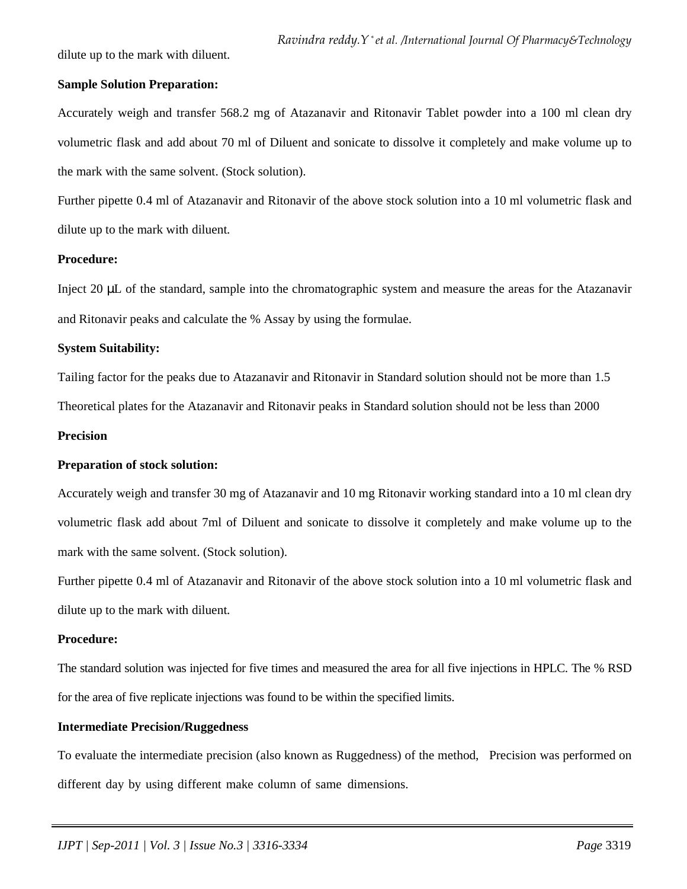dilute up to the mark with diluent.

#### **Sample Solution Preparation:**

Accurately weigh and transfer 568.2 mg of Atazanavir and Ritonavir Tablet powder into a 100 ml clean dry volumetric flask and add about 70 ml of Diluent and sonicate to dissolve it completely and make volume up to the mark with the same solvent. (Stock solution).

Further pipette 0.4 ml of Atazanavir and Ritonavir of the above stock solution into a 10 ml volumetric flask and dilute up to the mark with diluent.

## **Procedure:**

Inject 20 µL of the standard, sample into the chromatographic system and measure the areas for the Atazanavir and Ritonavir peaks and calculate the % Assay by using the formulae.

## **System Suitability:**

Tailing factor for the peaks due to Atazanavir and Ritonavir in Standard solution should not be more than 1.5

Theoretical plates for the Atazanavir and Ritonavir peaks in Standard solution should not be less than 2000

## **Precision**

# **Preparation of stock solution:**

Accurately weigh and transfer 30 mg of Atazanavir and 10 mg Ritonavir working standard into a 10 ml clean dry volumetric flask add about 7ml of Diluent and sonicate to dissolve it completely and make volume up to the mark with the same solvent. (Stock solution).

Further pipette 0.4 ml of Atazanavir and Ritonavir of the above stock solution into a 10 ml volumetric flask and dilute up to the mark with diluent.

# **Procedure:**

The standard solution was injected for five times and measured the area for all five injections in HPLC. The % RSD for the area of five replicate injections was found to be within the specified limits.

# **Intermediate Precision/Ruggedness**

To evaluate the intermediate precision (also known as Ruggedness) of the method, Precision was performed on different day by using different make column of same dimensions.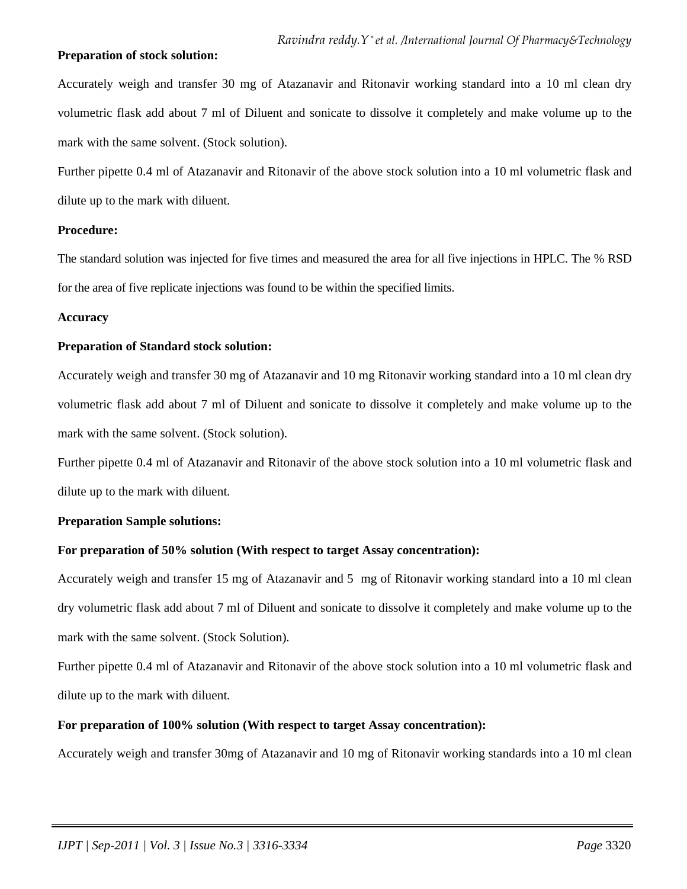#### **Preparation of stock solution:**

Accurately weigh and transfer 30 mg of Atazanavir and Ritonavir working standard into a 10 ml clean dry volumetric flask add about 7 ml of Diluent and sonicate to dissolve it completely and make volume up to the mark with the same solvent. (Stock solution).

Further pipette 0.4 ml of Atazanavir and Ritonavir of the above stock solution into a 10 ml volumetric flask and dilute up to the mark with diluent.

#### **Procedure:**

The standard solution was injected for five times and measured the area for all five injections in HPLC. The % RSD for the area of five replicate injections was found to be within the specified limits.

#### **Accuracy**

# **Preparation of Standard stock solution:**

Accurately weigh and transfer 30 mg of Atazanavir and 10 mg Ritonavir working standard into a 10 ml clean dry volumetric flask add about 7 ml of Diluent and sonicate to dissolve it completely and make volume up to the mark with the same solvent. (Stock solution).

Further pipette 0.4 ml of Atazanavir and Ritonavir of the above stock solution into a 10 ml volumetric flask and dilute up to the mark with diluent.

# **Preparation Sample solutions:**

# **For preparation of 50% solution (With respect to target Assay concentration):**

Accurately weigh and transfer 15 mg of Atazanavir and 5 mg of Ritonavir working standard into a 10 ml clean dry volumetric flask add about 7 ml of Diluent and sonicate to dissolve it completely and make volume up to the mark with the same solvent. (Stock Solution).

Further pipette 0.4 ml of Atazanavir and Ritonavir of the above stock solution into a 10 ml volumetric flask and dilute up to the mark with diluent.

# **For preparation of 100% solution (With respect to target Assay concentration):**

Accurately weigh and transfer 30mg of Atazanavir and 10 mg of Ritonavir working standards into a 10 ml clean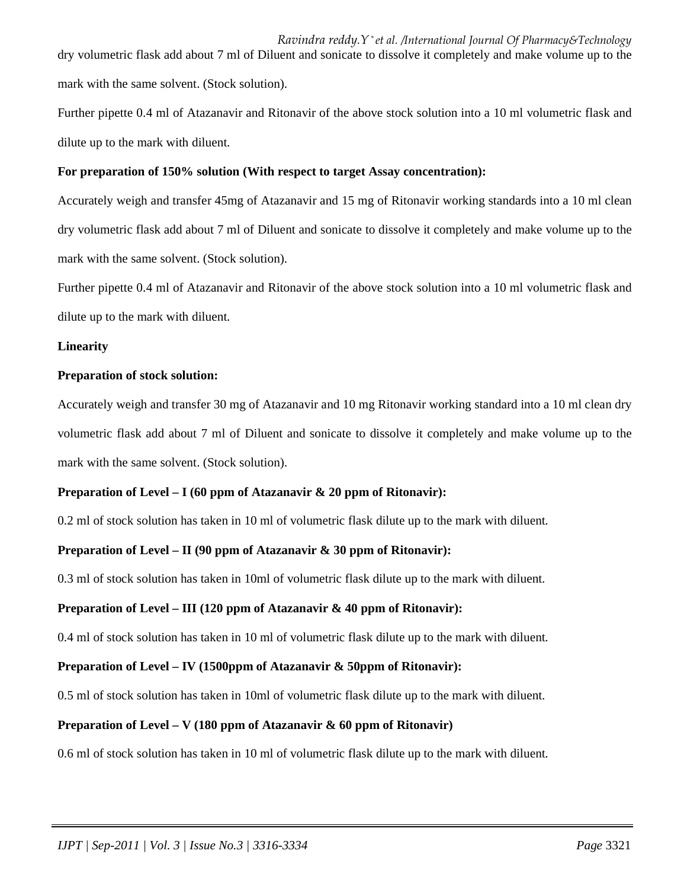*Ravindra reddy.Y \* et al. /International Journal Of Pharmacy&Technology* dry volumetric flask add about 7 ml of Diluent and sonicate to dissolve it completely and make volume up to the mark with the same solvent. (Stock solution).

Further pipette 0.4 ml of Atazanavir and Ritonavir of the above stock solution into a 10 ml volumetric flask and dilute up to the mark with diluent.

# **For preparation of 150% solution (With respect to target Assay concentration):**

Accurately weigh and transfer 45mg of Atazanavir and 15 mg of Ritonavir working standards into a 10 ml clean dry volumetric flask add about 7 ml of Diluent and sonicate to dissolve it completely and make volume up to the mark with the same solvent. (Stock solution).

Further pipette 0.4 ml of Atazanavir and Ritonavir of the above stock solution into a 10 ml volumetric flask and dilute up to the mark with diluent.

# **Linearity**

## **Preparation of stock solution:**

Accurately weigh and transfer 30 mg of Atazanavir and 10 mg Ritonavir working standard into a 10 ml clean dry volumetric flask add about 7 ml of Diluent and sonicate to dissolve it completely and make volume up to the mark with the same solvent. (Stock solution).

# **Preparation of Level – I (60 ppm of Atazanavir & 20 ppm of Ritonavir):**

0.2 ml of stock solution has taken in 10 ml of volumetric flask dilute up to the mark with diluent.

# **Preparation of Level – II (90 ppm of Atazanavir & 30 ppm of Ritonavir):**

0.3 ml of stock solution has taken in 10ml of volumetric flask dilute up to the mark with diluent.

# **Preparation of Level – III (120 ppm of Atazanavir & 40 ppm of Ritonavir):**

0.4 ml of stock solution has taken in 10 ml of volumetric flask dilute up to the mark with diluent.

# **Preparation of Level – IV (1500ppm of Atazanavir & 50ppm of Ritonavir):**

0.5 ml of stock solution has taken in 10ml of volumetric flask dilute up to the mark with diluent.

# **Preparation of Level – V (180 ppm of Atazanavir & 60 ppm of Ritonavir)**

0.6 ml of stock solution has taken in 10 ml of volumetric flask dilute up to the mark with diluent.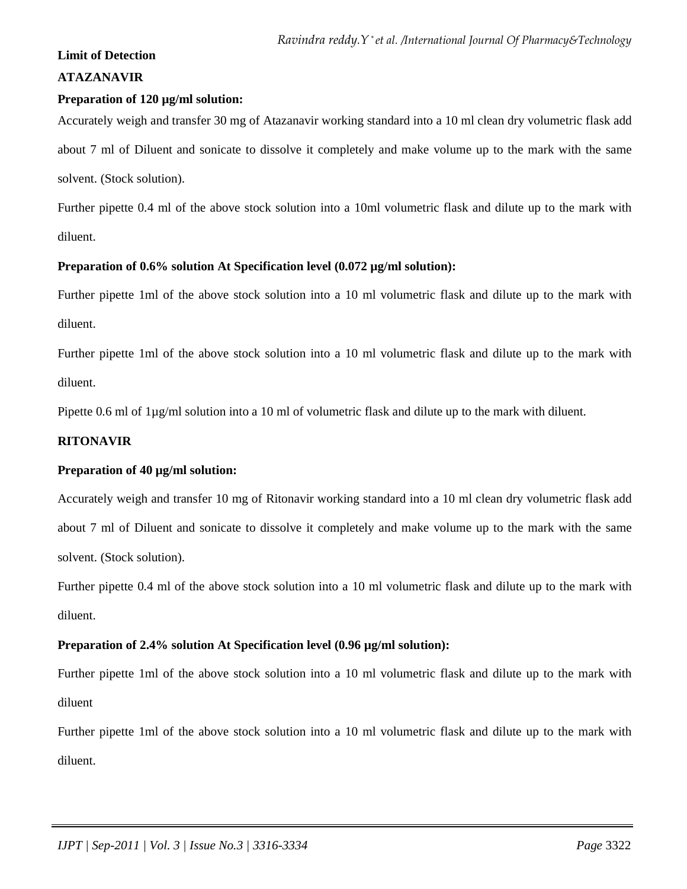#### **Limit of Detection**

# **ATAZANAVIR**

## **Preparation of 120 µg/ml solution:**

Accurately weigh and transfer 30 mg of Atazanavir working standard into a 10 ml clean dry volumetric flask add about 7 ml of Diluent and sonicate to dissolve it completely and make volume up to the mark with the same solvent. (Stock solution).

Further pipette 0.4 ml of the above stock solution into a 10ml volumetric flask and dilute up to the mark with diluent.

## **Preparation of 0.6% solution At Specification level (0.072 µg/ml solution):**

Further pipette 1ml of the above stock solution into a 10 ml volumetric flask and dilute up to the mark with diluent.

Further pipette 1ml of the above stock solution into a 10 ml volumetric flask and dilute up to the mark with diluent.

Pipette 0.6 ml of 1µg/ml solution into a 10 ml of volumetric flask and dilute up to the mark with diluent.

# **RITONAVIR**

#### **Preparation of 40 µg/ml solution:**

Accurately weigh and transfer 10 mg of Ritonavir working standard into a 10 ml clean dry volumetric flask add about 7 ml of Diluent and sonicate to dissolve it completely and make volume up to the mark with the same solvent. (Stock solution).

Further pipette 0.4 ml of the above stock solution into a 10 ml volumetric flask and dilute up to the mark with diluent.

#### **Preparation of 2.4% solution At Specification level (0.96 µg/ml solution):**

Further pipette 1ml of the above stock solution into a 10 ml volumetric flask and dilute up to the mark with diluent

Further pipette 1ml of the above stock solution into a 10 ml volumetric flask and dilute up to the mark with diluent.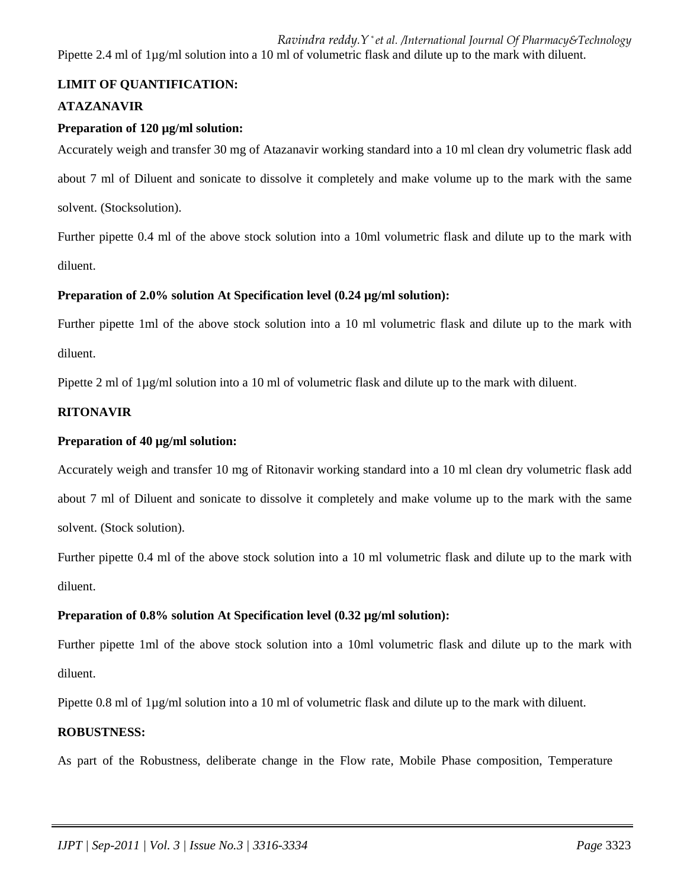*Ravindra reddy.Y \* et al. /International Journal Of Pharmacy&Technology* Pipette 2.4 ml of 1µg/ml solution into a 10 ml of volumetric flask and dilute up to the mark with diluent.

# **LIMIT OF QUANTIFICATION:**

# **ATAZANAVIR**

#### **Preparation of 120 µg/ml solution:**

Accurately weigh and transfer 30 mg of Atazanavir working standard into a 10 ml clean dry volumetric flask add about 7 ml of Diluent and sonicate to dissolve it completely and make volume up to the mark with the same solvent. (Stocksolution).

Further pipette 0.4 ml of the above stock solution into a 10ml volumetric flask and dilute up to the mark with diluent.

## **Preparation of 2.0% solution At Specification level (0.24 µg/ml solution):**

Further pipette 1ml of the above stock solution into a 10 ml volumetric flask and dilute up to the mark with diluent.

Pipette 2 ml of 1µg/ml solution into a 10 ml of volumetric flask and dilute up to the mark with diluent.

#### **RITONAVIR**

#### **Preparation of 40 µg/ml solution:**

Accurately weigh and transfer 10 mg of Ritonavir working standard into a 10 ml clean dry volumetric flask add

about 7 ml of Diluent and sonicate to dissolve it completely and make volume up to the mark with the same solvent. (Stock solution).

Further pipette 0.4 ml of the above stock solution into a 10 ml volumetric flask and dilute up to the mark with diluent.

#### **Preparation of 0.8% solution At Specification level (0.32 µg/ml solution):**

Further pipette 1ml of the above stock solution into a 10ml volumetric flask and dilute up to the mark with diluent.

Pipette 0.8 ml of 1µg/ml solution into a 10 ml of volumetric flask and dilute up to the mark with diluent.

#### **ROBUSTNESS:**

As part of the Robustness, deliberate change in the Flow rate, Mobile Phase composition, Temperature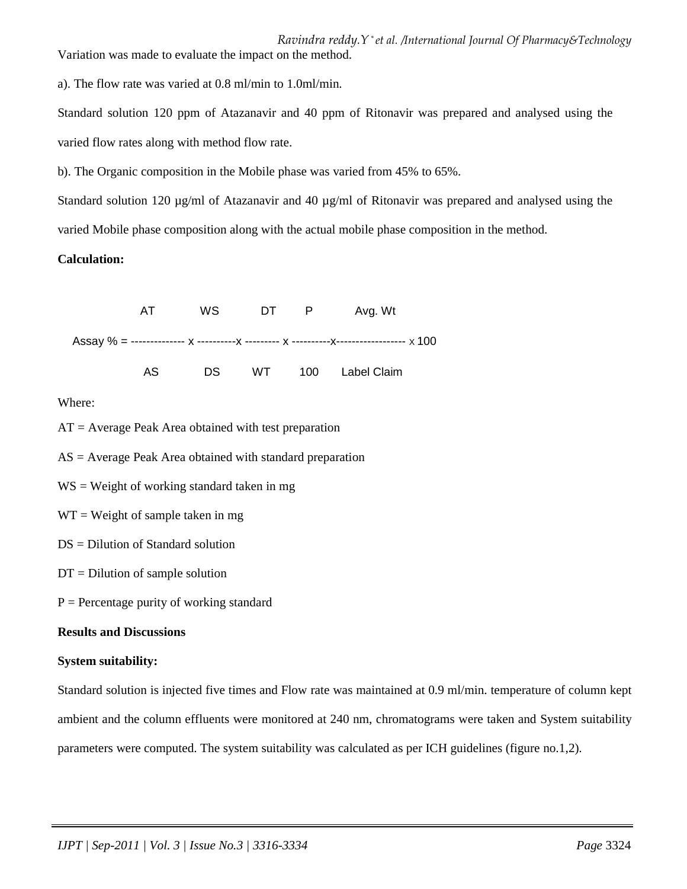*Ravindra reddy.Y \* et al. /International Journal Of Pharmacy&Technology* Variation was made to evaluate the impact on the method.

a). The flow rate was varied at 0.8 ml/min to 1.0ml/min.

Standard solution 120 ppm of Atazanavir and 40 ppm of Ritonavir was prepared and analysed using the varied flow rates along with method flow rate.

b). The Organic composition in the Mobile phase was varied from 45% to 65%.

Standard solution 120 µg/ml of Atazanavir and 40 µg/ml of Ritonavir was prepared and analysed using the varied Mobile phase composition along with the actual mobile phase composition in the method.

# **Calculation:**



Where:

 $AT = Average Peak Area obtained with test preparation$ 

 $AS = Average$  Peak Area obtained with standard preparation

 $WS = Weight$  of working standard taken in mg

 $WT = Weight of sample taken in mg$ 

- $DS = Dilution of Standard solution$
- $DT = Dilution of sample solution$
- $P =$  Percentage purity of working standard

# **Results and Discussions**

#### **System suitability:**

Standard solution is injected five times and Flow rate was maintained at 0.9 ml/min. temperature of column kept ambient and the column effluents were monitored at 240 nm, chromatograms were taken and System suitability parameters were computed. The system suitability was calculated as per ICH guidelines (figure no.1,2).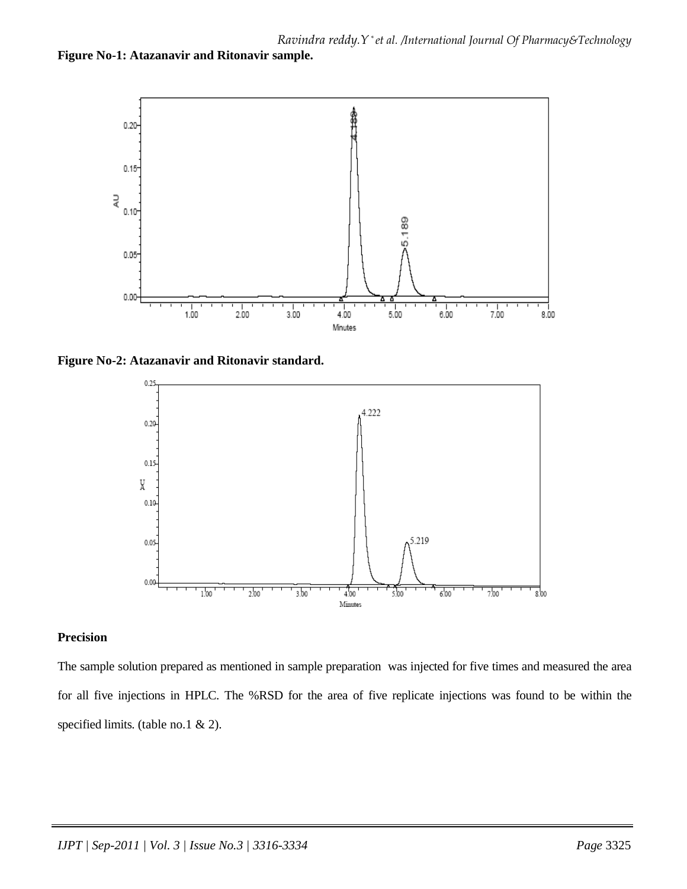



**Figure No-2: Atazanavir and Ritonavir standard.** 



#### **Precision**

The sample solution prepared as mentioned in sample preparation was injected for five times and measured the area for all five injections in HPLC. The %RSD for the area of five replicate injections was found to be within the specified limits. (table no.1 & 2).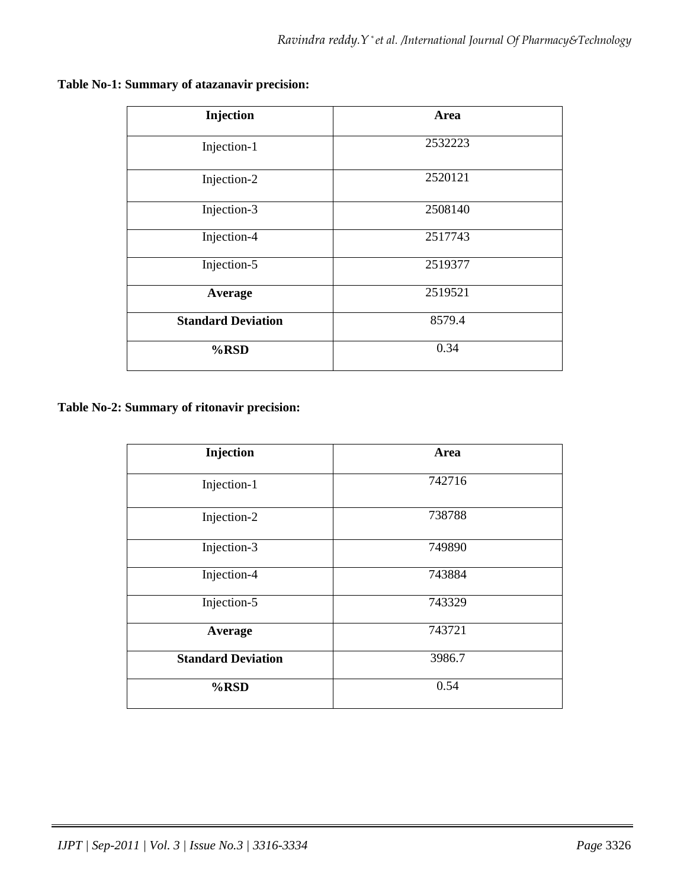| Injection                 | Area    |
|---------------------------|---------|
| Injection-1               | 2532223 |
| Injection-2               | 2520121 |
| Injection-3               | 2508140 |
| Injection-4               | 2517743 |
| Injection-5               | 2519377 |
| Average                   | 2519521 |
| <b>Standard Deviation</b> | 8579.4  |
| $%$ RSD                   | 0.34    |

# **Table No-1: Summary of atazanavir precision:**

**Table No-2: Summary of ritonavir precision:** 

| Injection                 | Area   |
|---------------------------|--------|
| Injection-1               | 742716 |
| Injection-2               | 738788 |
| Injection-3               | 749890 |
| Injection-4               | 743884 |
| Injection-5               | 743329 |
| Average                   | 743721 |
| <b>Standard Deviation</b> | 3986.7 |
| %RSD                      | 0.54   |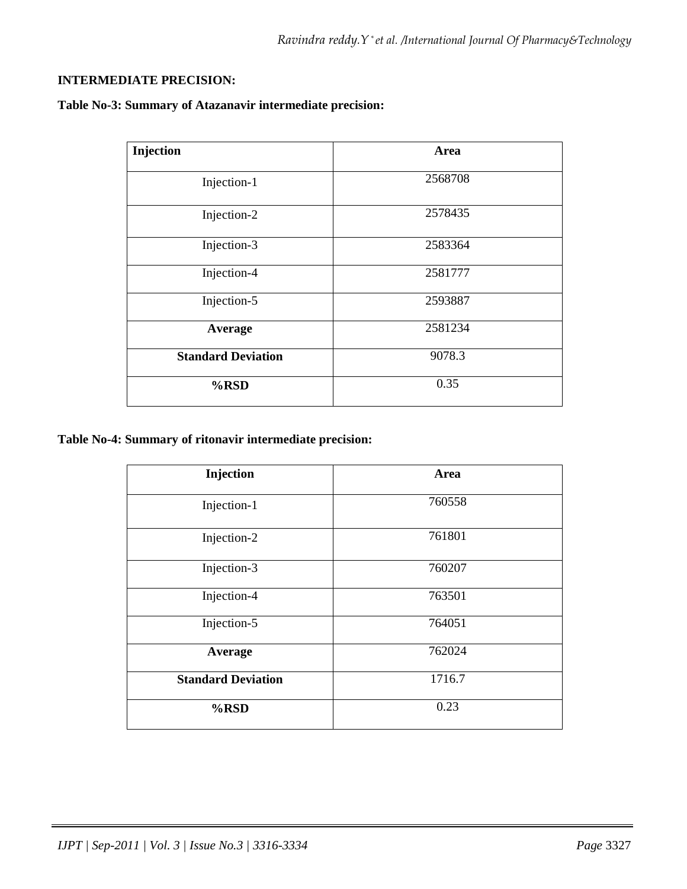# **INTERMEDIATE PRECISION:**

# **Table No-3: Summary of Atazanavir intermediate precision:**

| Injection                 | Area    |
|---------------------------|---------|
| Injection-1               | 2568708 |
| Injection-2               | 2578435 |
| Injection-3               | 2583364 |
| Injection-4               | 2581777 |
| Injection-5               | 2593887 |
| Average                   | 2581234 |
| <b>Standard Deviation</b> | 9078.3  |
| %RSD                      | 0.35    |

# **Table No-4: Summary of ritonavir intermediate precision:**

| Injection                 | Area   |
|---------------------------|--------|
| Injection-1               | 760558 |
| Injection-2               | 761801 |
| Injection-3               | 760207 |
| Injection-4               | 763501 |
| Injection-5               | 764051 |
| <b>Average</b>            | 762024 |
| <b>Standard Deviation</b> | 1716.7 |
| %RSD                      | 0.23   |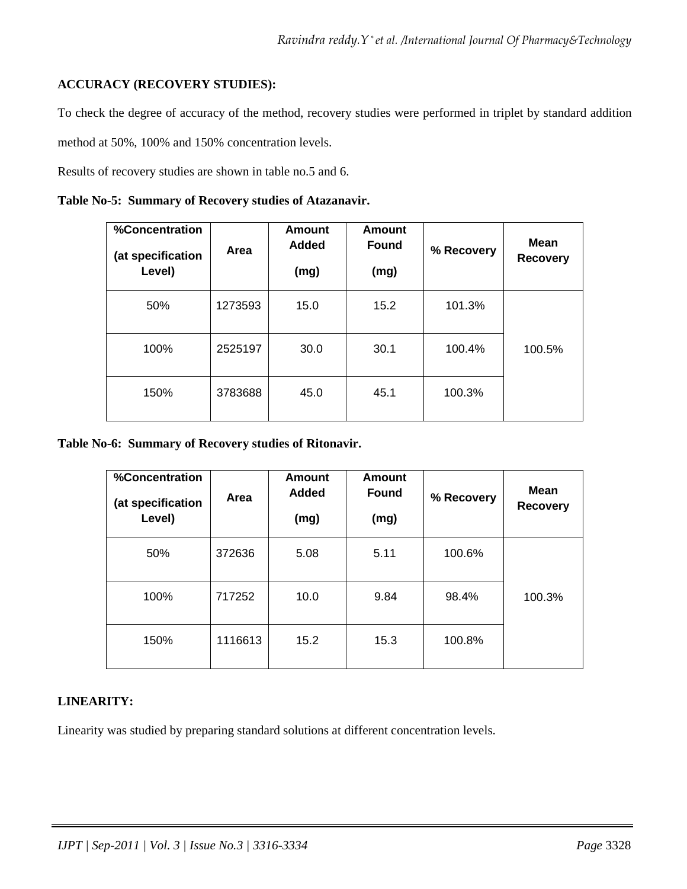# **ACCURACY (RECOVERY STUDIES):**

To check the degree of accuracy of the method, recovery studies were performed in triplet by standard addition

method at 50%, 100% and 150% concentration levels.

Results of recovery studies are shown in table no.5 and 6.

|  |  |  |  | Table No-5: Summary of Recovery studies of Atazanavir. |
|--|--|--|--|--------------------------------------------------------|
|--|--|--|--|--------------------------------------------------------|

| %Concentration<br>(at specification<br>Level) | Area    | <b>Amount</b><br>Added<br>(mg) | <b>Amount</b><br><b>Found</b><br>(mg) | % Recovery | <b>Mean</b><br><b>Recovery</b> |
|-----------------------------------------------|---------|--------------------------------|---------------------------------------|------------|--------------------------------|
| 50%                                           | 1273593 | 15.0                           | 15.2                                  | 101.3%     |                                |
| 100%                                          | 2525197 | 30.0                           | 30.1                                  | 100.4%     | 100.5%                         |
| 150%                                          | 3783688 | 45.0                           | 45.1                                  | 100.3%     |                                |

**Table No-6: Summary of Recovery studies of Ritonavir.** 

| %Concentration<br>(at specification<br>Level) | Area    | <b>Amount</b><br><b>Added</b><br>(mg) | <b>Amount</b><br><b>Found</b><br>(mg) | % Recovery | <b>Mean</b><br><b>Recovery</b> |
|-----------------------------------------------|---------|---------------------------------------|---------------------------------------|------------|--------------------------------|
| 50%                                           | 372636  | 5.08                                  | 5.11                                  | 100.6%     |                                |
| 100%                                          | 717252  | 10.0                                  | 9.84                                  | 98.4%      | 100.3%                         |
| 150%                                          | 1116613 | 15.2                                  | 15.3                                  | 100.8%     |                                |

# **LINEARITY:**

Linearity was studied by preparing standard solutions at different concentration levels.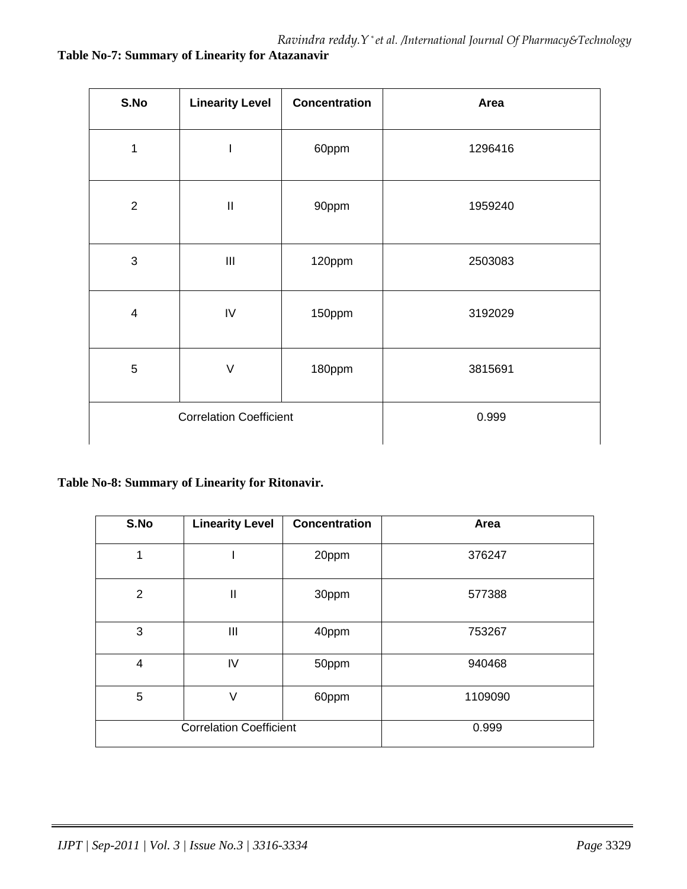# **Table No-7: Summary of Linearity for Atazanavir**

| S.No                           | <b>Linearity Level</b>           | <b>Concentration</b> | Area    |
|--------------------------------|----------------------------------|----------------------|---------|
| $\mathbf 1$                    | $\overline{\phantom{a}}$         | 60ppm                | 1296416 |
| $\overline{2}$                 | $\mathbf{  }$                    | 90ppm                | 1959240 |
| 3                              | $\mathop{\mathsf{III}}\nolimits$ | 120ppm               | 2503083 |
| $\overline{\mathbf{4}}$        | IV                               | 150ppm               | 3192029 |
| 5                              | $\vee$                           | 180ppm               | 3815691 |
| <b>Correlation Coefficient</b> |                                  | 0.999                |         |

# **Table No-8: Summary of Linearity for Ritonavir.**

| S.No            | <b>Linearity Level</b>         | <b>Concentration</b> | Area    |
|-----------------|--------------------------------|----------------------|---------|
| 1               |                                | 20ppm                | 376247  |
| $\overline{2}$  | $\mathbf{I}$                   | 30ppm                | 577388  |
| 3               | III                            | 40ppm                | 753267  |
| 4               | IV                             | 50ppm                | 940468  |
| $5\phantom{.0}$ | $\vee$                         | 60ppm                | 1109090 |
|                 | <b>Correlation Coefficient</b> |                      | 0.999   |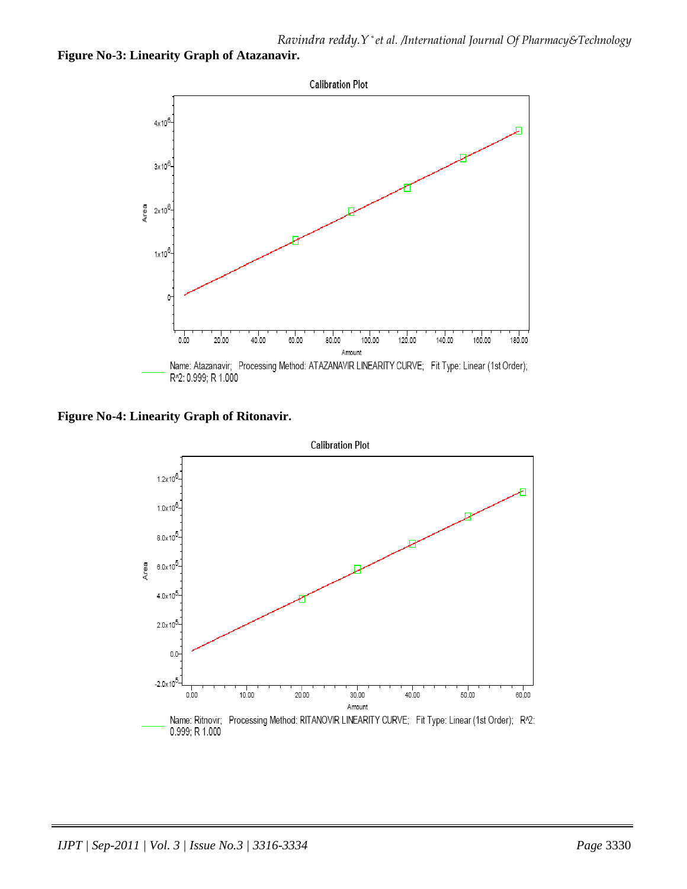# **Figure No-3: Linearity Graph of Atazanavir.**



**Figure No-4: Linearity Graph of Ritonavir.** 

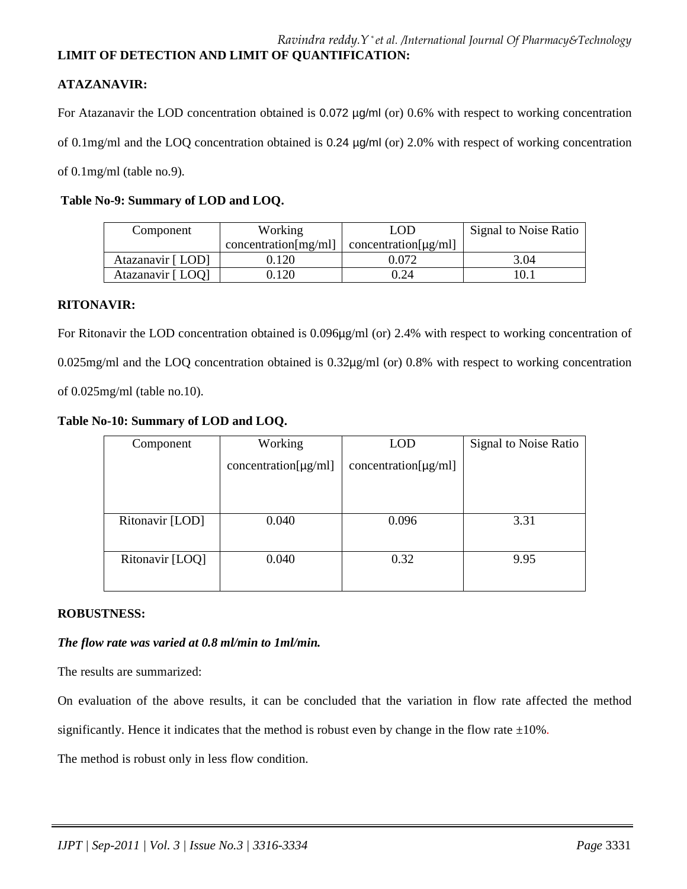# **LIMIT OF DETECTION AND LIMIT OF QUANTIFICATION:**

# **ATAZANAVIR:**

For Atazanavir the LOD concentration obtained is 0.072 µg/ml (or) 0.6% with respect to working concentration

of 0.1mg/ml and the LOQ concentration obtained is 0.24 µg/ml (or) 2.0% with respect of working concentration

of 0.1mg/ml (table no.9).

# **Table No-9: Summary of LOD and LOQ.**

| Component         | Working              | LOD                       | Signal to Noise Ratio |
|-------------------|----------------------|---------------------------|-----------------------|
|                   | concentration[mg/ml] | $concentration[\mu g/ml]$ |                       |
| Atazanavir [ LOD] | J.120                | ).072                     | 3.04                  |
| Atazanavir [LOO]  | .120                 | 0.24                      | 10.1                  |

## **RITONAVIR:**

For Ritonavir the LOD concentration obtained is 0.096µg/ml (or) 2.4% with respect to working concentration of 0.025mg/ml and the LOQ concentration obtained is 0.32µg/ml (or) 0.8% with respect to working concentration of 0.025mg/ml (table no.10).

**Table No-10: Summary of LOD and LOQ.** 

| Component       | Working                   | <b>LOD</b>                | Signal to Noise Ratio |
|-----------------|---------------------------|---------------------------|-----------------------|
|                 | $concentration[\mu g/ml]$ | $concentration[\mu g/ml]$ |                       |
|                 |                           |                           |                       |
|                 |                           |                           |                       |
| Ritonavir [LOD] | 0.040                     | 0.096                     | 3.31                  |
|                 |                           |                           |                       |
| Ritonavir [LOQ] | 0.040                     | 0.32                      | 9.95                  |
|                 |                           |                           |                       |

# **ROBUSTNESS:**

# *The flow rate was varied at 0.8 ml/min to 1ml/min.*

The results are summarized:

On evaluation of the above results, it can be concluded that the variation in flow rate affected the method

significantly. Hence it indicates that the method is robust even by change in the flow rate  $\pm 10\%$ .

The method is robust only in less flow condition.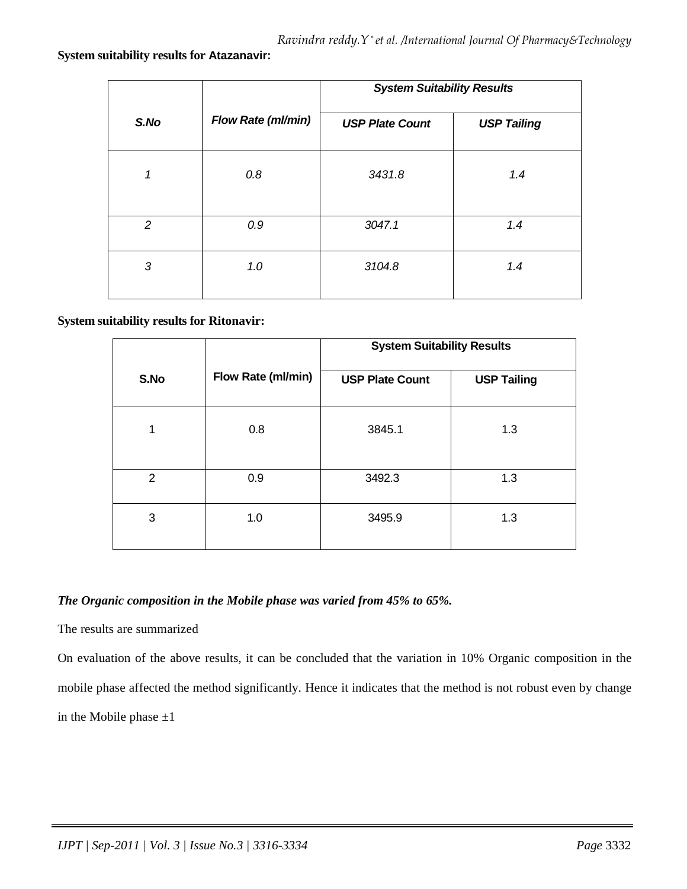#### **System suitability results for Atazanavir:**

|      |                    | <b>System Suitability Results</b> |                    |
|------|--------------------|-----------------------------------|--------------------|
| S.No | Flow Rate (ml/min) | <b>USP Plate Count</b>            | <b>USP Tailing</b> |
| 1    | 0.8                | 3431.8                            | 1.4                |
| 2    | 0.9                | 3047.1                            | 1.4                |
| 3    | 1.0                | 3104.8                            | 1.4                |

## **System suitability results for Ritonavir:**

|                |                    | <b>System Suitability Results</b> |                    |
|----------------|--------------------|-----------------------------------|--------------------|
| S.No           | Flow Rate (ml/min) | <b>USP Plate Count</b>            | <b>USP Tailing</b> |
|                | 0.8                | 3845.1                            | 1.3                |
| $\overline{2}$ | 0.9                | 3492.3                            | 1.3                |
| 3              | 1.0                | 3495.9                            | 1.3                |

#### *The Organic composition in the Mobile phase was varied from 45% to 65%.*

#### The results are summarized

On evaluation of the above results, it can be concluded that the variation in 10% Organic composition in the mobile phase affected the method significantly. Hence it indicates that the method is not robust even by change in the Mobile phase  $\pm 1$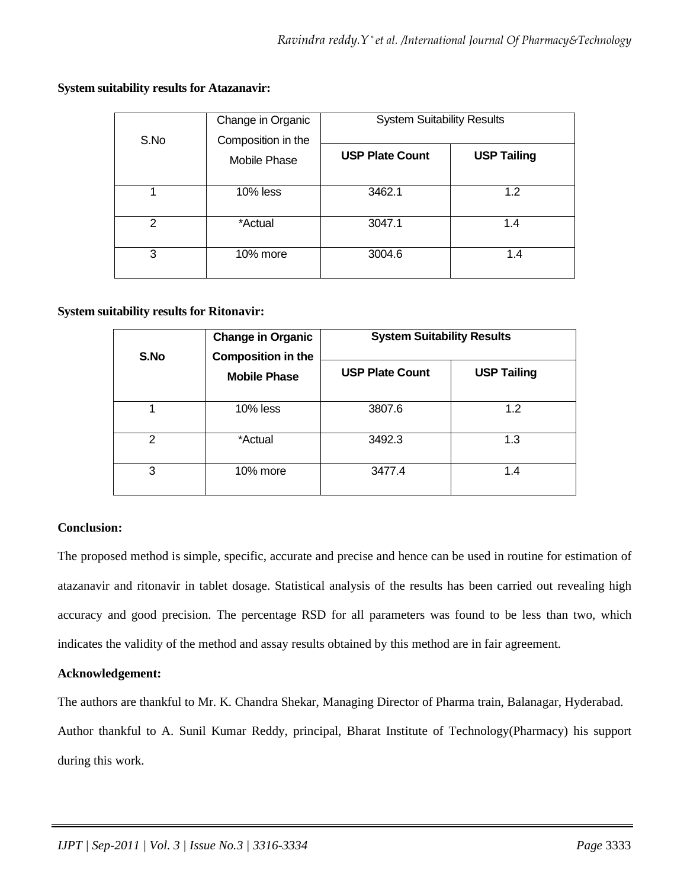# **System suitability results for Atazanavir:**

| S.No           | Change in Organic<br>Composition in the | <b>System Suitability Results</b> |                    |
|----------------|-----------------------------------------|-----------------------------------|--------------------|
|                | <b>Mobile Phase</b>                     | <b>USP Plate Count</b>            | <b>USP Tailing</b> |
|                | 10% less                                | 3462.1                            | 1.2                |
| $\overline{2}$ | *Actual                                 | 3047.1                            | 1.4                |
| 3              | 10% more                                | 3004.6                            | 1.4                |

## **System suitability results for Ritonavir:**

| S.No          | <b>Change in Organic</b><br><b>Composition in the</b><br><b>Mobile Phase</b> | <b>System Suitability Results</b> |                    |
|---------------|------------------------------------------------------------------------------|-----------------------------------|--------------------|
|               |                                                                              | <b>USP Plate Count</b>            | <b>USP Tailing</b> |
|               | $10\%$ less                                                                  | 3807.6                            | 1.2                |
| $\mathcal{P}$ | *Actual                                                                      | 3492.3                            | 1.3                |
| 3             | 10% more                                                                     | 3477.4                            | 1.4                |

# **Conclusion:**

The proposed method is simple, specific, accurate and precise and hence can be used in routine for estimation of atazanavir and ritonavir in tablet dosage. Statistical analysis of the results has been carried out revealing high accuracy and good precision. The percentage RSD for all parameters was found to be less than two, which indicates the validity of the method and assay results obtained by this method are in fair agreement.

#### **Acknowledgement:**

The authors are thankful to Mr. K. Chandra Shekar, Managing Director of Pharma train, Balanagar, Hyderabad. Author thankful to A. Sunil Kumar Reddy, principal, Bharat Institute of Technology(Pharmacy) his support during this work.